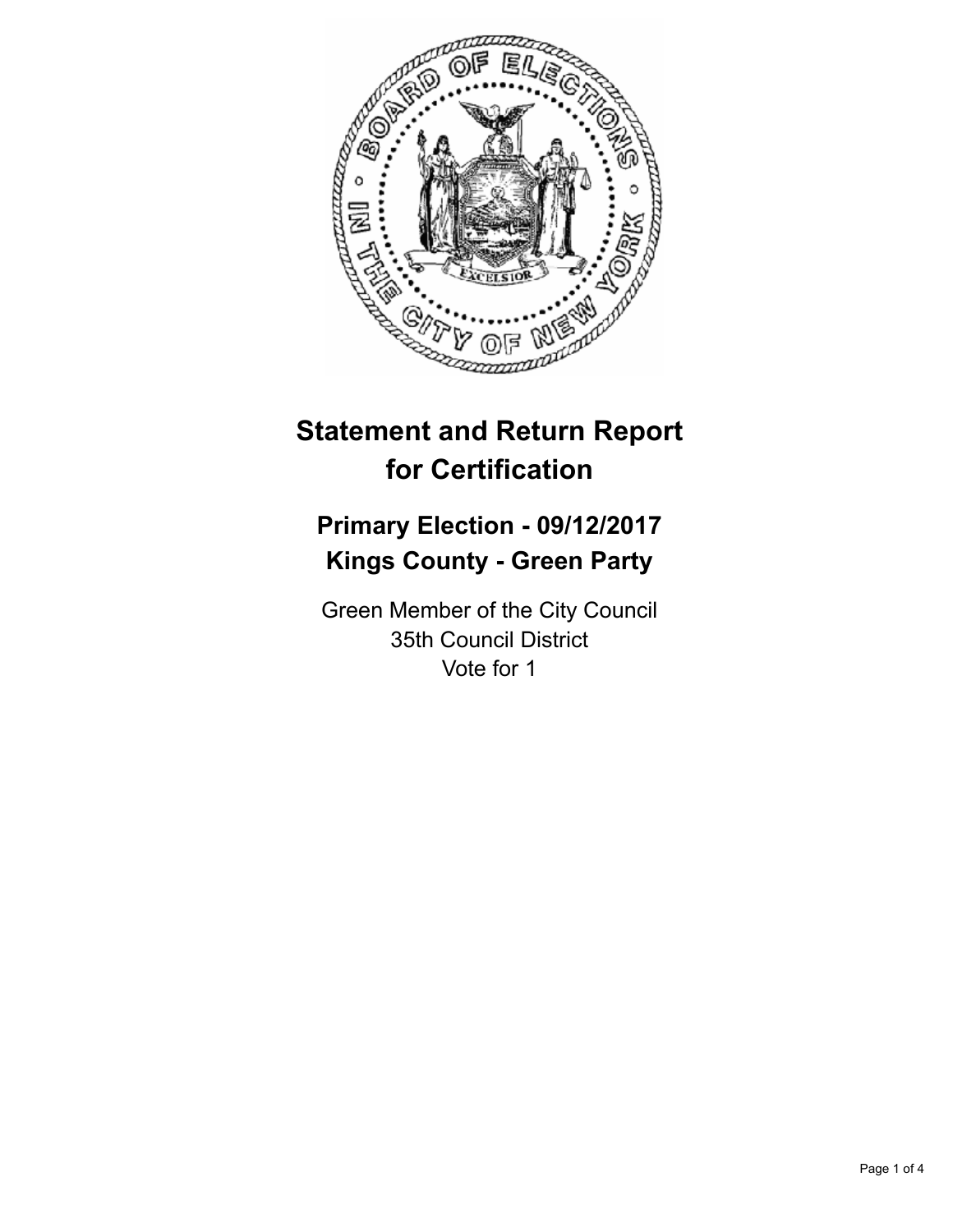

# **Statement and Return Report for Certification**

## **Primary Election - 09/12/2017 Kings County - Green Party**

Green Member of the City Council 35th Council District Vote for 1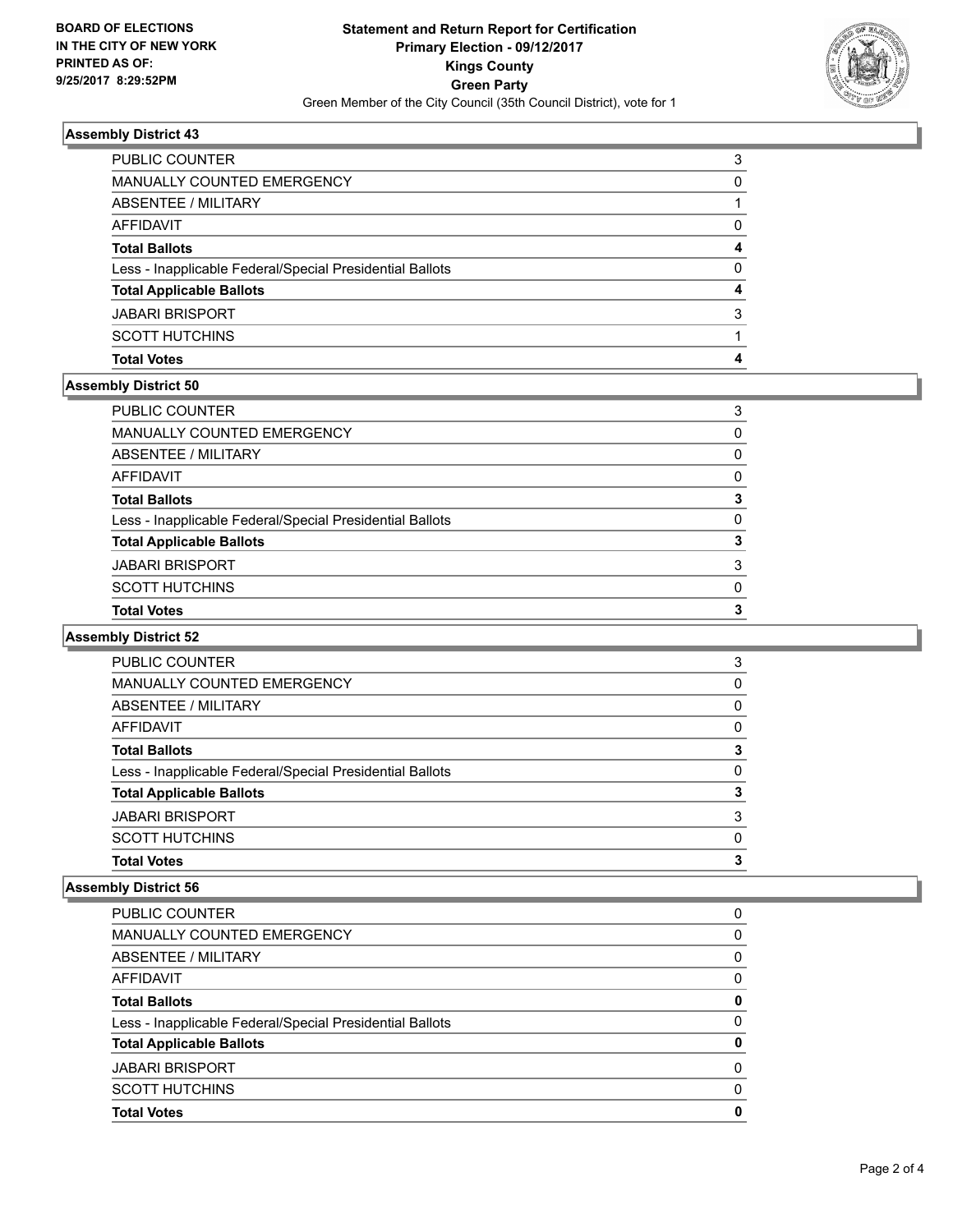

#### **Assembly District 43**

| PUBLIC COUNTER                                           | 3        |
|----------------------------------------------------------|----------|
| <b>MANUALLY COUNTED EMERGENCY</b>                        | 0        |
| ABSENTEE / MILITARY                                      |          |
| AFFIDAVIT                                                | 0        |
| <b>Total Ballots</b>                                     | 4        |
| Less - Inapplicable Federal/Special Presidential Ballots | $\Omega$ |
| <b>Total Applicable Ballots</b>                          | 4        |
| <b>JABARI BRISPORT</b>                                   | 3        |
| <b>SCOTT HUTCHINS</b>                                    |          |
| <b>Total Votes</b>                                       |          |
|                                                          |          |

### **Assembly District 50**

| PUBLIC COUNTER                                           | 3            |
|----------------------------------------------------------|--------------|
| MANUALLY COUNTED EMERGENCY                               | $\Omega$     |
| ABSENTEE / MILITARY                                      | $\Omega$     |
| AFFIDAVIT                                                | $\Omega$     |
| Total Ballots                                            | 3            |
| Less - Inapplicable Federal/Special Presidential Ballots | $\mathbf{0}$ |
| <b>Total Applicable Ballots</b>                          | 3            |
| JABARI BRISPORT                                          | 3            |
| SCOTT HUTCHINS                                           | 0            |
| <b>Total Votes</b>                                       | 3            |

#### **Assembly District 52**

| <b>Total Votes</b>                                       | 3        |
|----------------------------------------------------------|----------|
| <b>SCOTT HUTCHINS</b>                                    | 0        |
| <b>JABARI BRISPORT</b>                                   | 3        |
| <b>Total Applicable Ballots</b>                          | 3        |
| Less - Inapplicable Federal/Special Presidential Ballots | 0        |
| <b>Total Ballots</b>                                     | 3        |
| AFFIDAVIT                                                | $\Omega$ |
| ABSENTEE / MILITARY                                      | 0        |
| MANUALLY COUNTED EMERGENCY                               | 0        |
| PUBLIC COUNTER                                           | 3        |

#### **Assembly District 56**

| <b>PUBLIC COUNTER</b>                                    | 0        |
|----------------------------------------------------------|----------|
| <b>MANUALLY COUNTED EMERGENCY</b>                        | 0        |
| ABSENTEE / MILITARY                                      | 0        |
| AFFIDAVIT                                                | 0        |
| <b>Total Ballots</b>                                     | 0        |
| Less - Inapplicable Federal/Special Presidential Ballots | 0        |
| <b>Total Applicable Ballots</b>                          | 0        |
| <b>JABARI BRISPORT</b>                                   | 0        |
| <b>SCOTT HUTCHINS</b>                                    | $\Omega$ |
| <b>Total Votes</b>                                       | 0        |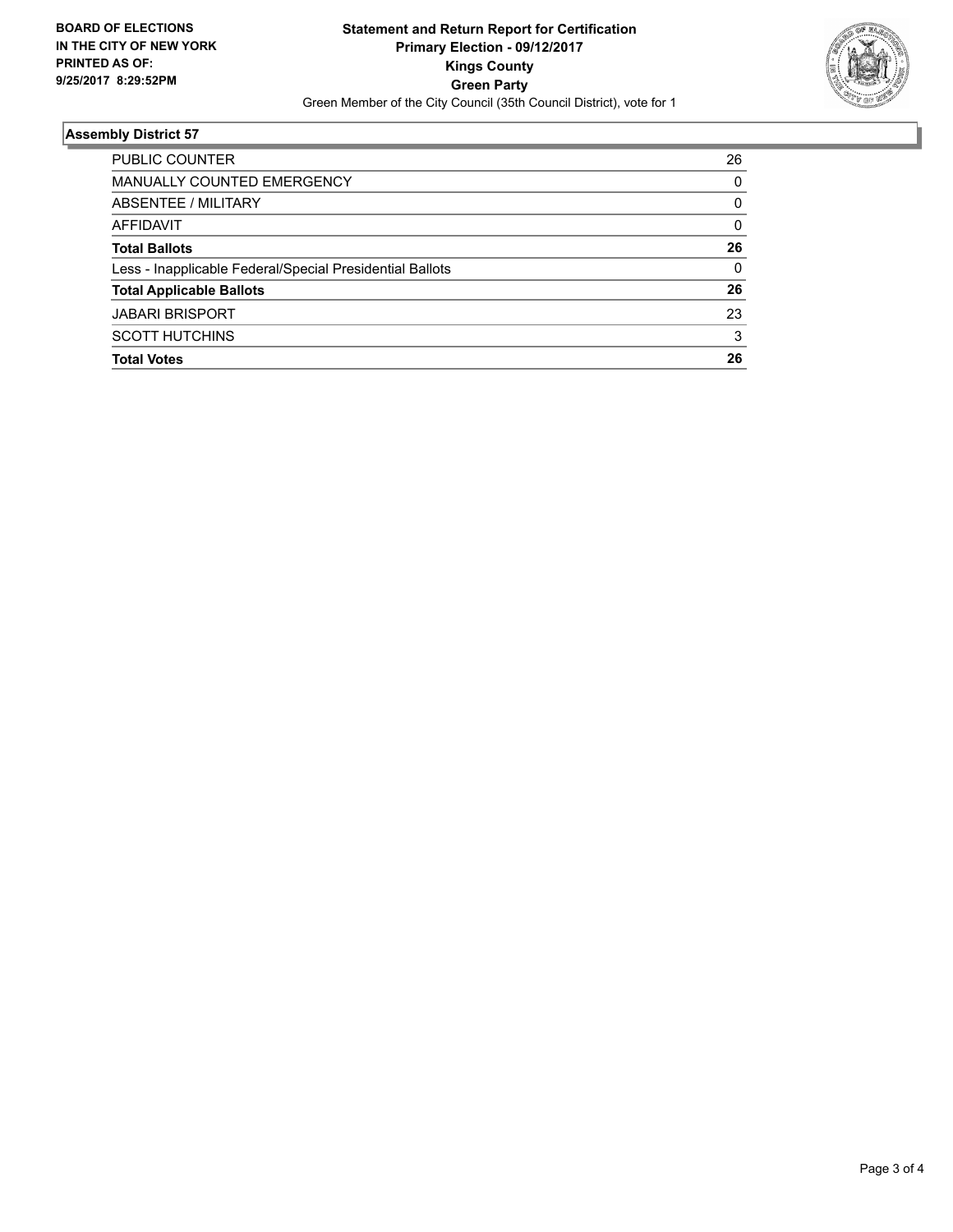

#### **Assembly District 57**

| <b>PUBLIC COUNTER</b>                                    | 26 |
|----------------------------------------------------------|----|
| <b>MANUALLY COUNTED EMERGENCY</b>                        | 0  |
| ABSENTEE / MILITARY                                      | 0  |
| AFFIDAVIT                                                | 0  |
| <b>Total Ballots</b>                                     | 26 |
| Less - Inapplicable Federal/Special Presidential Ballots | 0  |
| <b>Total Applicable Ballots</b>                          | 26 |
| <b>JABARI BRISPORT</b>                                   | 23 |
| <b>SCOTT HUTCHINS</b>                                    | 3  |
| <b>Total Votes</b>                                       | 26 |
|                                                          |    |